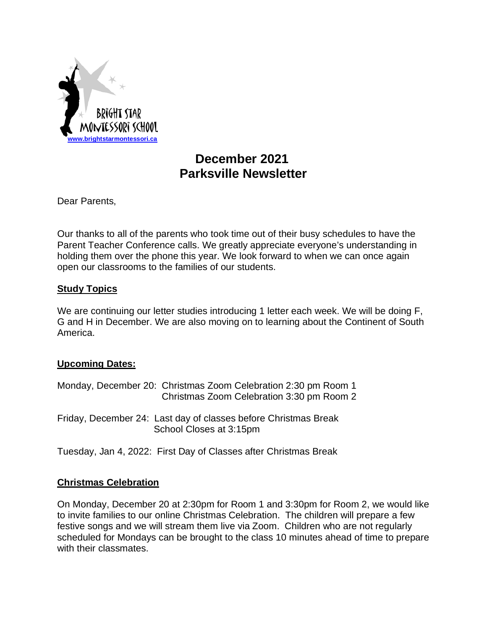

# **December 2021 Parksville Newsletter**

Dear Parents,

Our thanks to all of the parents who took time out of their busy schedules to have the Parent Teacher Conference calls. We greatly appreciate everyone's understanding in holding them over the phone this year. We look forward to when we can once again open our classrooms to the families of our students.

## **Study Topics**

We are continuing our letter studies introducing 1 letter each week. We will be doing F, G and H in December. We are also moving on to learning about the Continent of South America.

## **Upcoming Dates:**

| Monday, December 20: Christmas Zoom Celebration 2:30 pm Room 1  |
|-----------------------------------------------------------------|
| Christmas Zoom Celebration 3:30 pm Room 2                       |
| Friday, December 24: Last day of classes before Christmas Break |
| School Closes at 3:15pm                                         |

Tuesday, Jan 4, 2022: First Day of Classes after Christmas Break

## **Christmas Celebration**

On Monday, December 20 at 2:30pm for Room 1 and 3:30pm for Room 2, we would like to invite families to our online Christmas Celebration. The children will prepare a few festive songs and we will stream them live via Zoom. Children who are not regularly scheduled for Mondays can be brought to the class 10 minutes ahead of time to prepare with their classmates.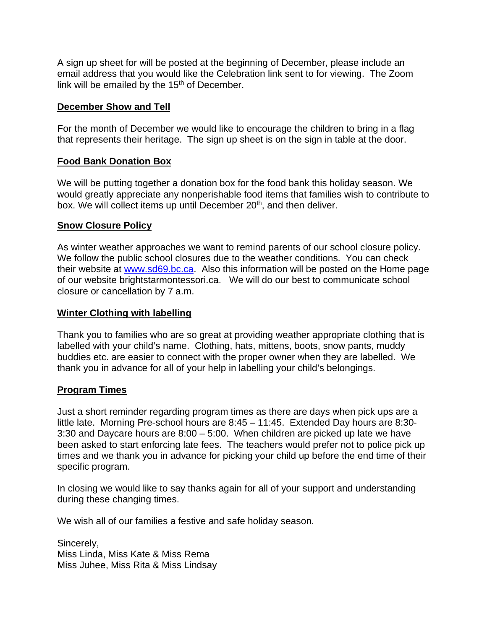A sign up sheet for will be posted at the beginning of December, please include an email address that you would like the Celebration link sent to for viewing. The Zoom link will be emailed by the  $15<sup>th</sup>$  of December.

#### **December Show and Tell**

For the month of December we would like to encourage the children to bring in a flag that represents their heritage. The sign up sheet is on the sign in table at the door.

#### **Food Bank Donation Box**

We will be putting together a donation box for the food bank this holiday season. We would greatly appreciate any nonperishable food items that families wish to contribute to box. We will collect items up until December 20<sup>th</sup>, and then deliver.

#### **Snow Closure Policy**

As winter weather approaches we want to remind parents of our school closure policy. We follow the public school closures due to the weather conditions. You can check their website at [www.sd69.bc.ca.](http://www.sd69.bc.ca/) Also this information will be posted on the Home page of our website brightstarmontessori.ca. We will do our best to communicate school closure or cancellation by 7 a.m.

#### **Winter Clothing with labelling**

Thank you to families who are so great at providing weather appropriate clothing that is labelled with your child's name. Clothing, hats, mittens, boots, snow pants, muddy buddies etc. are easier to connect with the proper owner when they are labelled. We thank you in advance for all of your help in labelling your child's belongings.

## **Program Times**

Just a short reminder regarding program times as there are days when pick ups are a little late. Morning Pre-school hours are 8:45 – 11:45. Extended Day hours are 8:30- 3:30 and Daycare hours are 8:00 – 5:00. When children are picked up late we have been asked to start enforcing late fees. The teachers would prefer not to police pick up times and we thank you in advance for picking your child up before the end time of their specific program.

In closing we would like to say thanks again for all of your support and understanding during these changing times.

We wish all of our families a festive and safe holiday season.

Sincerely, Miss Linda, Miss Kate & Miss Rema Miss Juhee, Miss Rita & Miss Lindsay